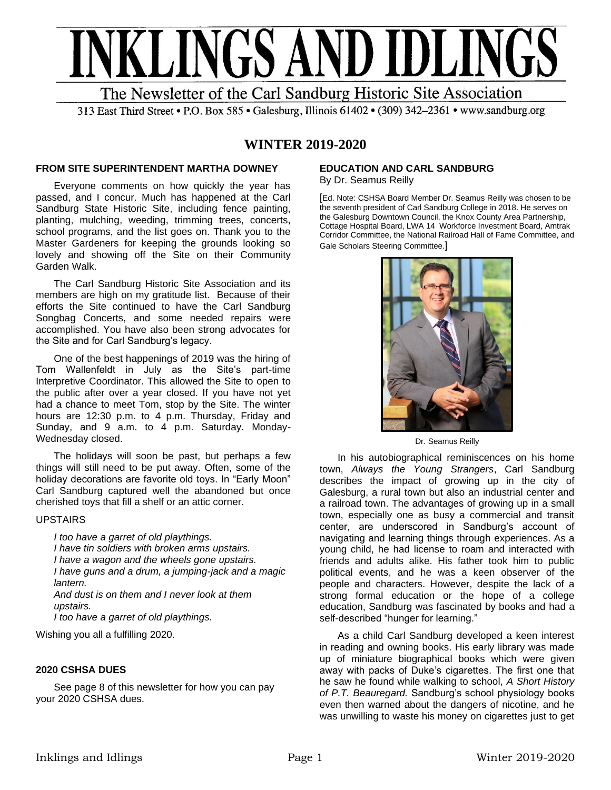

313 East Third Street • P.O. Box 585 • Galesburg, Illinois 61402 • (309) 342-2361 • www.sandburg.org

# **WINTER 2019-2020**

## **FROM SITE SUPERINTENDENT MARTHA DOWNEY**

Everyone comments on how quickly the year has passed, and I concur. Much has happened at the Carl Sandburg State Historic Site, including fence painting, planting, mulching, weeding, trimming trees, concerts, school programs, and the list goes on. Thank you to the Master Gardeners for keeping the grounds looking so lovely and showing off the Site on their Community Garden Walk.

The Carl Sandburg Historic Site Association and its members are high on my gratitude list. Because of their efforts the Site continued to have the Carl Sandburg Songbag Concerts, and some needed repairs were accomplished. You have also been strong advocates for the Site and for Carl Sandburg's legacy.

One of the best happenings of 2019 was the hiring of Tom Wallenfeldt in July as the Site's part-time Interpretive Coordinator. This allowed the Site to open to the public after over a year closed. If you have not yet had a chance to meet Tom, stop by the Site. The winter hours are 12:30 p.m. to 4 p.m. Thursday, Friday and Sunday, and 9 a.m. to 4 p.m. Saturday. Monday-Wednesday closed.

The holidays will soon be past, but perhaps a few things will still need to be put away. Often, some of the holiday decorations are favorite old toys. In "Early Moon" Carl Sandburg captured well the abandoned but once cherished toys that fill a shelf or an attic corner.

#### UPSTAIRS

*I too have a garret of old playthings. I have tin soldiers with broken arms upstairs. I have a wagon and the wheels gone upstairs. I have guns and a drum, a jumping-jack and a magic lantern.*

*And dust is on them and I never look at them upstairs.*

*I too have a garret of old playthings.*

Wishing you all a fulfilling 2020.

## **2020 CSHSA DUES**

See page 8 of this newsletter for how you can pay your 2020 CSHSA dues.

#### **EDUCATION AND CARL SANDBURG** By Dr. Seamus Reilly

[Ed. Note: CSHSA Board Member Dr. Seamus Reilly was chosen to be the seventh president of Carl Sandburg College in 2018. He serves on the Galesburg Downtown Council, the Knox County Area Partnership, Cottage Hospital Board, LWA 14 Workforce Investment Board, Amtrak Corridor Committee, the National Railroad Hall of Fame Committee, and Gale Scholars Steering Committee.]



Dr. Seamus Reilly

In his autobiographical reminiscences on his home town, *Always the Young Strangers*, Carl Sandburg describes the impact of growing up in the city of Galesburg, a rural town but also an industrial center and a railroad town. The advantages of growing up in a small town, especially one as busy a commercial and transit center, are underscored in Sandburg's account of navigating and learning things through experiences. As a young child, he had license to roam and interacted with friends and adults alike. His father took him to public political events, and he was a keen observer of the people and characters. However, despite the lack of a strong formal education or the hope of a college education, Sandburg was fascinated by books and had a self-described "hunger for learning."

As a child Carl Sandburg developed a keen interest in reading and owning books. His early library was made up of miniature biographical books which were given away with packs of Duke's cigarettes. The first one that he saw he found while walking to school, *A Short History of P.T. Beauregard.* Sandburg's school physiology books even then warned about the dangers of nicotine, and he was unwilling to waste his money on cigarettes just to get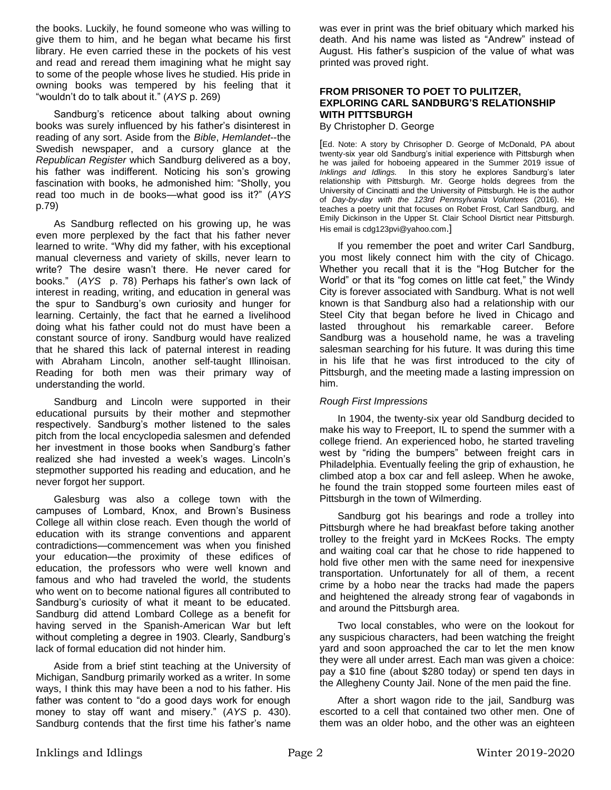the books. Luckily, he found someone who was willing to give them to him, and he began what became his first library. He even carried these in the pockets of his vest and read and reread them imagining what he might say to some of the people whose lives he studied. His pride in owning books was tempered by his feeling that it "wouldn't do to talk about it." (*AYS* p. 269)

Sandburg's reticence about talking about owning books was surely influenced by his father's disinterest in reading of any sort. Aside from the *Bible*, *Hemlandet*--the Swedish newspaper, and a cursory glance at the *Republican Register* which Sandburg delivered as a boy, his father was indifferent. Noticing his son's growing fascination with books, he admonished him: "Sholly, you read too much in de books—what good iss it?" (*AYS*  p.79)

As Sandburg reflected on his growing up, he was even more perplexed by the fact that his father never learned to write. "Why did my father, with his exceptional manual cleverness and variety of skills, never learn to write? The desire wasn't there. He never cared for books." (*AYS* p. 78) Perhaps his father's own lack of interest in reading, writing, and education in general was the spur to Sandburg's own curiosity and hunger for learning. Certainly, the fact that he earned a livelihood doing what his father could not do must have been a constant source of irony. Sandburg would have realized that he shared this lack of paternal interest in reading with Abraham Lincoln, another self-taught Illinoisan. Reading for both men was their primary way of understanding the world.

Sandburg and Lincoln were supported in their educational pursuits by their mother and stepmother respectively. Sandburg's mother listened to the sales pitch from the local encyclopedia salesmen and defended her investment in those books when Sandburg's father realized she had invested a week's wages. Lincoln's stepmother supported his reading and education, and he never forgot her support.

Galesburg was also a college town with the campuses of Lombard, Knox, and Brown's Business College all within close reach. Even though the world of education with its strange conventions and apparent contradictions—commencement was when you finished your education—the proximity of these edifices of education, the professors who were well known and famous and who had traveled the world, the students who went on to become national figures all contributed to Sandburg's curiosity of what it meant to be educated. Sandburg did attend Lombard College as a benefit for having served in the Spanish-American War but left without completing a degree in 1903. Clearly, Sandburg's lack of formal education did not hinder him.

Aside from a brief stint teaching at the University of Michigan, Sandburg primarily worked as a writer. In some ways, I think this may have been a nod to his father. His father was content to "do a good days work for enough money to stay off want and misery." (*AYS* p. 430). Sandburg contends that the first time his father's name was ever in print was the brief obituary which marked his death. And his name was listed as "Andrew" instead of August. His father's suspicion of the value of what was printed was proved right.

# **FROM PRISONER TO POET TO PULITZER, EXPLORING CARL SANDBURG'S RELATIONSHIP WITH PITTSBURGH**

By Christopher D. George

[Ed. Note: A story by Chrisopher D. George of McDonald, PA about twenty-six year old Sandburg's initial experience with Pittsburgh when he was jailed for hoboeing appeared in the Summer 2019 issue of *Inklings and Idlings.* In this story he explores Sandburg's later relationship with Pittsburgh. Mr. George holds degrees from the University of Cincinatti and the University of Pittsburgh. He is the author of *Day-by-day with the 123rd Pennsylvania Voluntees* (2016). He teaches a poetry unit that focuses on Robet Frost, Carl Sandburg, and Emily Dickinson in the Upper St. Clair School Disrtict near Pittsburgh. His email is cdg123pvi@yahoo.com.]

If you remember the poet and writer Carl Sandburg, you most likely connect him with the city of Chicago. Whether you recall that it is the "Hog Butcher for the World" or that its "fog comes on little cat feet," the Windy City is forever associated with Sandburg. What is not well known is that Sandburg also had a relationship with our Steel City that began before he lived in Chicago and lasted throughout his remarkable career. Before Sandburg was a household name, he was a traveling salesman searching for his future. It was during this time in his life that he was first introduced to the city of Pittsburgh, and the meeting made a lasting impression on him.

## *Rough First Impressions*

In 1904, the twenty-six year old Sandburg decided to make his way to Freeport, IL to spend the summer with a college friend. An experienced hobo, he started traveling west by "riding the bumpers" between freight cars in Philadelphia. Eventually feeling the grip of exhaustion, he climbed atop a box car and fell asleep. When he awoke, he found the train stopped some fourteen miles east of Pittsburgh in the town of Wilmerding.

Sandburg got his bearings and rode a trolley into Pittsburgh where he had breakfast before taking another trolley to the freight yard in McKees Rocks. The empty and waiting coal car that he chose to ride happened to hold five other men with the same need for inexpensive transportation. Unfortunately for all of them, a recent crime by a hobo near the tracks had made the papers and heightened the already strong fear of vagabonds in and around the Pittsburgh area.

Two local constables, who were on the lookout for any suspicious characters, had been watching the freight yard and soon approached the car to let the men know they were all under arrest. Each man was given a choice: pay a \$10 fine (about \$280 today) or spend ten days in the Allegheny County Jail. None of the men paid the fine.

After a short wagon ride to the jail, Sandburg was escorted to a cell that contained two other men. One of them was an older hobo, and the other was an eighteen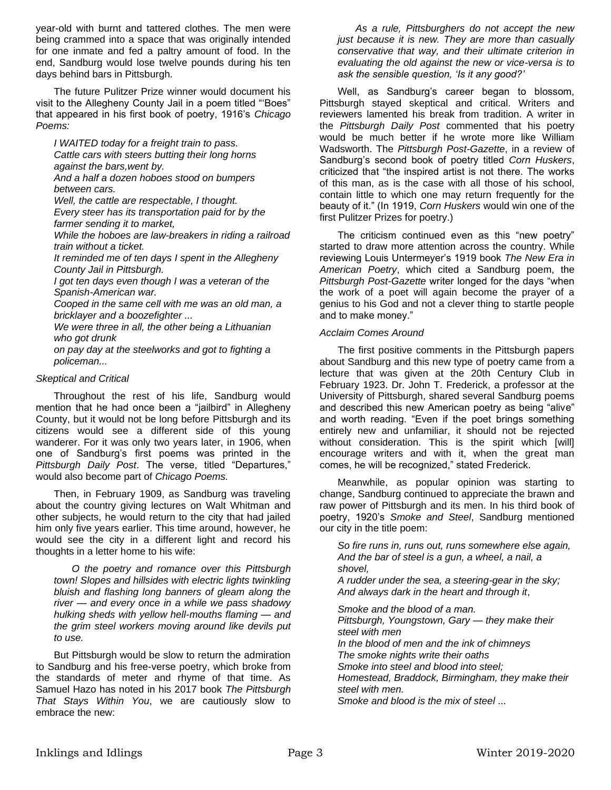year-old with burnt and tattered clothes. The men were being crammed into a space that was originally intended for one inmate and fed a paltry amount of food. In the end, Sandburg would lose twelve pounds during his ten days behind bars in Pittsburgh.

The future Pulitzer Prize winner would document his visit to the Allegheny County Jail in a poem titled "'Boes" that appeared in his first book of poetry, 1916's *Chicago Poems:*

*I WAITED today for a freight train to pass. Cattle cars with steers butting their long horns against the bars,went by. And a half a dozen hoboes stood on bumpers* 

*between cars.*

*Well, the cattle are respectable, I thought. Every steer has its transportation paid for by the farmer sending it to market,*

*While the hoboes are law-breakers in riding a railroad train without a ticket.*

*It reminded me of ten days I spent in the Allegheny County Jail in Pittsburgh.*

*I got ten days even though I was a veteran of the Spanish-American war.*

*Cooped in the same cell with me was an old man, a bricklayer and a boozefighter ...*

*We were three in all, the other being a Lithuanian who got drunk*

*on pay day at the steelworks and got to fighting a policeman...*

# *Skeptical and Critical*

Throughout the rest of his life, Sandburg would mention that he had once been a "jailbird" in Allegheny County, but it would not be long before Pittsburgh and its citizens would see a different side of this young wanderer. For it was only two years later, in 1906, when one of Sandburg's first poems was printed in the *Pittsburgh Daily Post*. The verse, titled "Departures," would also become part of *Chicago Poems.*

Then, in February 1909, as Sandburg was traveling about the country giving lectures on Walt Whitman and other subjects, he would return to the city that had jailed him only five years earlier. This time around, however, he would see the city in a different light and record his thoughts in a letter home to his wife:

*O the poetry and romance over this Pittsburgh town! Slopes and hillsides with electric lights twinkling bluish and flashing long banners of gleam along the river — and every once in a while we pass shadowy hulking sheds with yellow hell-mouths flaming — and the grim steel workers moving around like devils put to use.*

But Pittsburgh would be slow to return the admiration to Sandburg and his free-verse poetry, which broke from the standards of meter and rhyme of that time. As Samuel Hazo has noted in his 2017 book *The Pittsburgh That Stays Within You*, we are cautiously slow to embrace the new:

*As a rule, Pittsburghers do not accept the new just because it is new. They are more than casually conservative that way, and their ultimate criterion in evaluating the old against the new or vice-versa is to ask the sensible question, 'Is it any good?'*

Well, as Sandburg's career began to blossom, Pittsburgh stayed skeptical and critical. Writers and reviewers lamented his break from tradition. A writer in the *Pittsburgh Daily Post* commented that his poetry would be much better if he wrote more like William Wadsworth. The *Pittsburgh Post-Gazette*, in a review of Sandburg's second book of poetry titled *Corn Huskers*, criticized that "the inspired artist is not there. The works of this man, as is the case with all those of his school, contain little to which one may return frequently for the beauty of it." (In 1919, *Corn Huskers* would win one of the first Pulitzer Prizes for poetry.)

The criticism continued even as this "new poetry" started to draw more attention across the country. While reviewing Louis Untermeyer's 1919 book *The New Era in American Poetry*, which cited a Sandburg poem, the *Pittsburgh Post-Gazette* writer longed for the days "when the work of a poet will again become the prayer of a genius to his God and not a clever thing to startle people and to make money."

## *Acclaim Comes Around*

The first positive comments in the Pittsburgh papers about Sandburg and this new type of poetry came from a lecture that was given at the 20th Century Club in February 1923. Dr. John T. Frederick, a professor at the University of Pittsburgh, shared several Sandburg poems and described this new American poetry as being "alive" and worth reading. "Even if the poet brings something entirely new and unfamiliar, it should not be rejected without consideration. This is the spirit which [will] encourage writers and with it, when the great man comes, he will be recognized," stated Frederick.

Meanwhile, as popular opinion was starting to change, Sandburg continued to appreciate the brawn and raw power of Pittsburgh and its men. In his third book of poetry, 1920's *Smoke and Steel*, Sandburg mentioned our city in the title poem:

*So fire runs in, runs out, runs somewhere else again, And the bar of steel is a gun, a wheel, a nail, a shovel,*

*A rudder under the sea, a steering-gear in the sky; And always dark in the heart and through it*,

*Smoke and the blood of a man. Pittsburgh, Youngstown, Gary — they make their steel with men In the blood of men and the ink of chimneys The smoke nights write their oaths Smoke into steel and blood into steel; Homestead, Braddock, Birmingham, they make their steel with men. Smoke and blood is the mix of steel* ...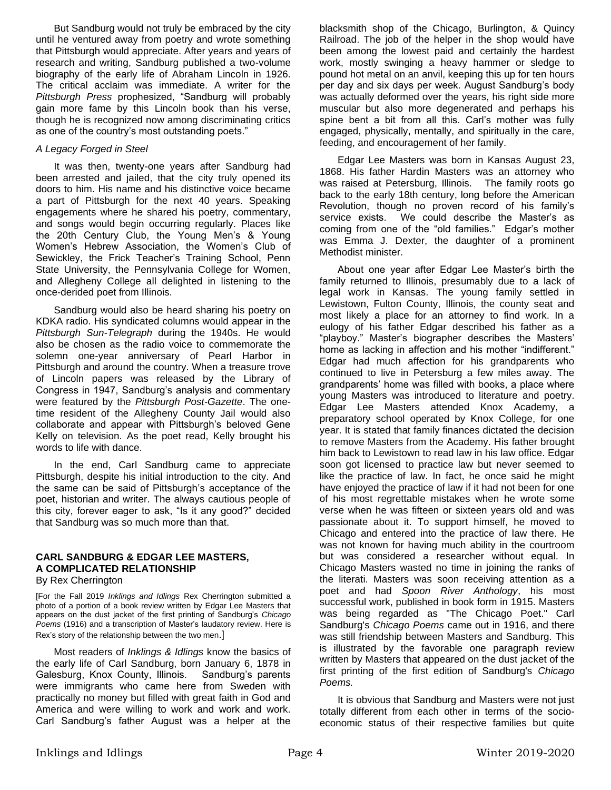But Sandburg would not truly be embraced by the city until he ventured away from poetry and wrote something that Pittsburgh would appreciate. After years and years of research and writing, Sandburg published a two-volume biography of the early life of Abraham Lincoln in 1926. The critical acclaim was immediate. A writer for the *Pittsburgh Press* prophesized, "Sandburg will probably gain more fame by this Lincoln book than his verse, though he is recognized now among discriminating critics as one of the country's most outstanding poets."

## *A Legacy Forged in Steel*

It was then, twenty-one years after Sandburg had been arrested and jailed, that the city truly opened its doors to him. His name and his distinctive voice became a part of Pittsburgh for the next 40 years. Speaking engagements where he shared his poetry, commentary, and songs would begin occurring regularly. Places like the 20th Century Club, the Young Men's & Young Women's Hebrew Association, the Women's Club of Sewickley, the Frick Teacher's Training School, Penn State University, the Pennsylvania College for Women, and Allegheny College all delighted in listening to the once-derided poet from Illinois.

Sandburg would also be heard sharing his poetry on KDKA radio. His syndicated columns would appear in the *Pittsburgh Sun-Telegraph* during the 1940s. He would also be chosen as the radio voice to commemorate the solemn one-year anniversary of Pearl Harbor in Pittsburgh and around the country. When a treasure trove of Lincoln papers was released by the Library of Congress in 1947, Sandburg's analysis and commentary were featured by the *Pittsburgh Post-Gazette*. The onetime resident of the Allegheny County Jail would also collaborate and appear with Pittsburgh's beloved Gene Kelly on television. As the poet read, Kelly brought his words to life with dance.

In the end, Carl Sandburg came to appreciate Pittsburgh, despite his initial introduction to the city. And the same can be said of Pittsburgh's acceptance of the poet, historian and writer. The always cautious people of this city, forever eager to ask, "Is it any good?" decided that Sandburg was so much more than that.

## **CARL SANDBURG & EDGAR LEE MASTERS, A COMPLICATED RELATIONSHIP** By Rex Cherrington

[For the Fall 2019 *Inklings and Idlings* Rex Cherrington submitted a photo of a portion of a book review written by Edgar Lee Masters that appears on the dust jacket of the first printing of Sandburg's *Chicago Poems* (1916) and a transcription of Master's laudatory review. Here is Rex's story of the relationship between the two men.]

Most readers of *Inklings & Idlings* know the basics of the early life of Carl Sandburg, born January 6, 1878 in Galesburg, Knox County, Illinois. Sandburg's parents were immigrants who came here from Sweden with practically no money but filled with great faith in God and America and were willing to work and work and work. Carl Sandburg's father August was a helper at the blacksmith shop of the Chicago, Burlington, & Quincy Railroad. The job of the helper in the shop would have been among the lowest paid and certainly the hardest work, mostly swinging a heavy hammer or sledge to pound hot metal on an anvil, keeping this up for ten hours per day and six days per week. August Sandburg's body was actually deformed over the years, his right side more muscular but also more degenerated and perhaps his spine bent a bit from all this. Carl's mother was fully engaged, physically, mentally, and spiritually in the care, feeding, and encouragement of her family.

Edgar Lee Masters was born in Kansas August 23, 1868. His father Hardin Masters was an attorney who was raised at Petersburg, Illinois. The family roots go back to the early 18th century, long before the American Revolution, though no proven record of his family's service exists. We could describe the Master's as coming from one of the "old families." Edgar's mother was Emma J. Dexter, the daughter of a prominent Methodist minister.

About one year after Edgar Lee Master's birth the family returned to Illinois, presumably due to a lack of legal work in Kansas. The young family settled in Lewistown, Fulton County, Illinois, the county seat and most likely a place for an attorney to find work. In a eulogy of his father Edgar described his father as a "playboy." Master's biographer describes the Masters' home as lacking in affection and his mother "indifferent." Edgar had much affection for his grandparents who continued to live in Petersburg a few miles away. The grandparents' home was filled with books, a place where young Masters was introduced to literature and poetry. Edgar Lee Masters attended Knox Academy, a preparatory school operated by Knox College, for one year. It is stated that family finances dictated the decision to remove Masters from the Academy. His father brought him back to Lewistown to read law in his law office. Edgar soon got licensed to practice law but never seemed to like the practice of law. In fact, he once said he might have enjoyed the practice of law if it had not been for one of his most regrettable mistakes when he wrote some verse when he was fifteen or sixteen years old and was passionate about it. To support himself, he moved to Chicago and entered into the practice of law there. He was not known for having much ability in the courtroom but was considered a researcher without equal. In Chicago Masters wasted no time in joining the ranks of the literati. Masters was soon receiving attention as a poet and had *Spoon River Anthology*, his most successful work, published in book form in 1915. Masters was being regarded as "The Chicago Poet." Carl Sandburg's *Chicago Poems* came out in 1916, and there was still friendship between Masters and Sandburg. This is illustrated by the favorable one paragraph review written by Masters that appeared on the dust jacket of the first printing of the first edition of Sandburg's *Chicago Poems.*

It is obvious that Sandburg and Masters were not just totally different from each other in terms of the socioeconomic status of their respective families but quite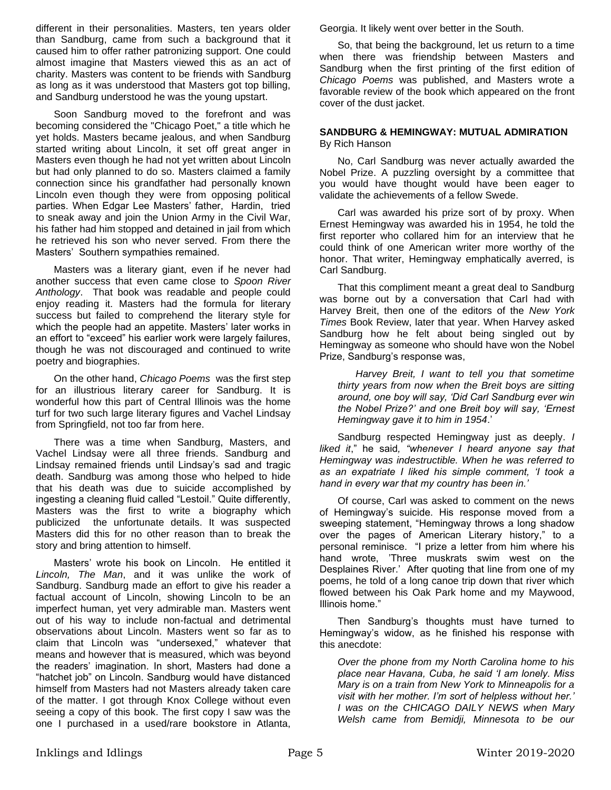different in their personalities. Masters, ten years older than Sandburg, came from such a background that it caused him to offer rather patronizing support. One could almost imagine that Masters viewed this as an act of charity. Masters was content to be friends with Sandburg as long as it was understood that Masters got top billing, and Sandburg understood he was the young upstart.

Soon Sandburg moved to the forefront and was becoming considered the "Chicago Poet," a title which he yet holds. Masters became jealous, and when Sandburg started writing about Lincoln, it set off great anger in Masters even though he had not yet written about Lincoln but had only planned to do so. Masters claimed a family connection since his grandfather had personally known Lincoln even though they were from opposing political parties. When Edgar Lee Masters' father, Hardin, tried to sneak away and join the Union Army in the Civil War, his father had him stopped and detained in jail from which he retrieved his son who never served. From there the Masters' Southern sympathies remained.

Masters was a literary giant, even if he never had another success that even came close to *Spoon River Anthology*. That book was readable and people could enjoy reading it. Masters had the formula for literary success but failed to comprehend the literary style for which the people had an appetite. Masters' later works in an effort to "exceed" his earlier work were largely failures, though he was not discouraged and continued to write poetry and biographies.

On the other hand, *Chicago Poems* was the first step for an illustrious literary career for Sandburg. It is wonderful how this part of Central Illinois was the home turf for two such large literary figures and Vachel Lindsay from Springfield, not too far from here.

There was a time when Sandburg, Masters, and Vachel Lindsay were all three friends. Sandburg and Lindsay remained friends until Lindsay's sad and tragic death. Sandburg was among those who helped to hide that his death was due to suicide accomplished by ingesting a cleaning fluid called "Lestoil." Quite differently, Masters was the first to write a biography which publicized the unfortunate details. It was suspected Masters did this for no other reason than to break the story and bring attention to himself.

Masters' wrote his book on Lincoln. He entitled it *Lincoln, The Man*, and it was unlike the work of Sandburg. Sandburg made an effort to give his reader a factual account of Lincoln, showing Lincoln to be an imperfect human, yet very admirable man. Masters went out of his way to include non-factual and detrimental observations about Lincoln. Masters went so far as to claim that Lincoln was "undersexed," whatever that means and however that is measured, which was beyond the readers' imagination. In short, Masters had done a "hatchet job" on Lincoln. Sandburg would have distanced himself from Masters had not Masters already taken care of the matter. I got through Knox College without even seeing a copy of this book. The first copy I saw was the one I purchased in a used/rare bookstore in Atlanta,

Georgia. It likely went over better in the South.

So, that being the background, let us return to a time when there was friendship between Masters and Sandburg when the first printing of the first edition of *Chicago Poems* was published, and Masters wrote a favorable review of the book which appeared on the front cover of the dust jacket.

## **SANDBURG & HEMINGWAY: MUTUAL ADMIRATION** By Rich Hanson

No, Carl Sandburg was never actually awarded the Nobel Prize. A puzzling oversight by a committee that you would have thought would have been eager to validate the achievements of a fellow Swede.

Carl was awarded his prize sort of by proxy. When Ernest Hemingway was awarded his in 1954, he told the first reporter who collared him for an interview that he could think of one American writer more worthy of the honor. That writer, Hemingway emphatically averred, is Carl Sandburg.

That this compliment meant a great deal to Sandburg was borne out by a conversation that Carl had with Harvey Breit, then one of the editors of the *New York Times* Book Review, later that year. When Harvey asked Sandburg how he felt about being singled out by Hemingway as someone who should have won the Nobel Prize, Sandburg's response was,

*Harvey Breit, I want to tell you that sometime thirty years from now when the Breit boys are sitting around, one boy will say, 'Did Carl Sandburg ever win the Nobel Prize?' and one Breit boy will say, 'Ernest Hemingway gave it to him in 1954*.'

Sandburg respected Hemingway just as deeply. *I liked it*," he said*, "whenever I heard anyone say that Hemingway was indestructible. When he was referred to as an expatriate I liked his simple comment, 'I took a hand in every war that my country has been in.'*

Of course, Carl was asked to comment on the news of Hemingway's suicide. His response moved from a sweeping statement, "Hemingway throws a long shadow over the pages of American Literary history," to a personal reminisce. "I prize a letter from him where his hand wrote, 'Three muskrats swim west on the Desplaines River.' After quoting that line from one of my poems, he told of a long canoe trip down that river which flowed between his Oak Park home and my Maywood, Illinois home."

Then Sandburg's thoughts must have turned to Hemingway's widow, as he finished his response with this anecdote:

*Over the phone from my North Carolina home to his place near Havana, Cuba, he said 'I am lonely. Miss Mary is on a train from New York to Minneapolis for a visit with her mother. I'm sort of helpless without her.' I was on the CHICAGO DAILY NEWS when Mary Welsh came from Bemidji, Minnesota to be our*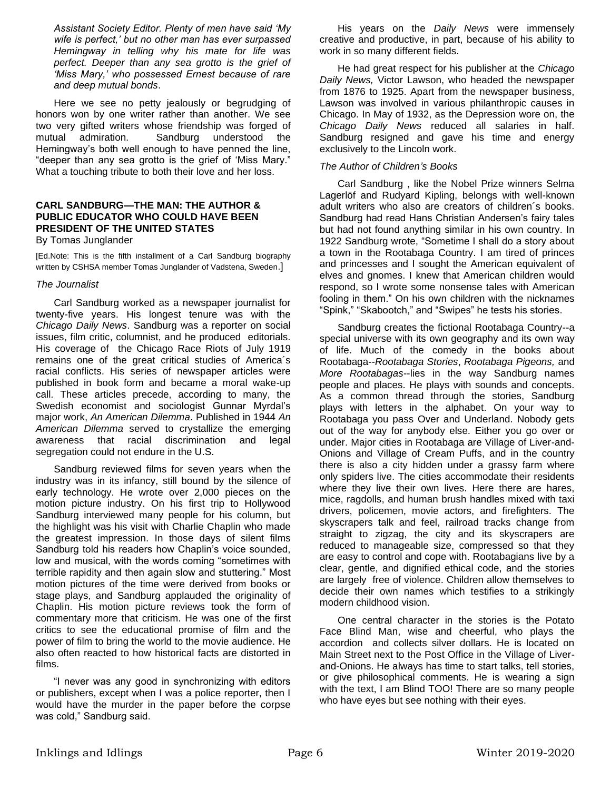*Assistant Society Editor. Plenty of men have said 'My wife is perfect,' but no other man has ever surpassed Hemingway in telling why his mate for life was perfect. Deeper than any sea grotto is the grief of 'Miss Mary,' who possessed Ernest because of rare and deep mutual bonds*.

Here we see no petty jealously or begrudging of honors won by one writer rather than another. We see two very gifted writers whose friendship was forged of mutual admiration. Sandburg understood the Hemingway's both well enough to have penned the line, "deeper than any sea grotto is the grief of 'Miss Mary." What a touching tribute to both their love and her loss.

#### **CARL SANDBURG—THE MAN: THE AUTHOR & PUBLIC EDUCATOR WHO COULD HAVE BEEN PRESIDENT OF THE UNITED STATES** By Tomas Junglander

[Ed.Note: This is the fifth installment of a Carl Sandburg biography written by CSHSA member Tomas Junglander of Vadstena, Sweden.]

## *The Journalist*

Carl Sandburg worked as a newspaper journalist for twenty-five years. His longest tenure was with the *Chicago Daily News*. Sandburg was a reporter on social issues, film critic, columnist, and he produced editorials. His coverage of the Chicago Race Riots of July 1919 remains one of the great critical studies of America´s racial conflicts. His series of newspaper articles were published in book form and became a moral wake-up call. These articles precede, according to many, the Swedish economist and sociologist Gunnar Myrdal's major work, *An American Dilemma*. Published in 1944 *An American Dilemma* served to crystallize the emerging awareness that racial discrimination and legal segregation could not endure in the U.S.

Sandburg reviewed films for seven years when the industry was in its infancy, still bound by the silence of early technology. He wrote over 2,000 pieces on the motion picture industry. On his first trip to Hollywood Sandburg interviewed many people for his column, but the highlight was his visit with Charlie Chaplin who made the greatest impression. In those days of silent films Sandburg told his readers how Chaplin's voice sounded, low and musical, with the words coming "sometimes with terrible rapidity and then again slow and stuttering." Most motion pictures of the time were derived from books or stage plays, and Sandburg applauded the originality of Chaplin. His motion picture reviews took the form of commentary more that criticism. He was one of the first critics to see the educational promise of film and the power of film to bring the world to the movie audience. He also often reacted to how historical facts are distorted in films.

"I never was any good in synchronizing with editors or publishers, except when I was a police reporter, then I would have the murder in the paper before the corpse was cold," Sandburg said.

His years on the *Daily News* were immensely creative and productive, in part, because of his ability to work in so many different fields.

He had great respect for his publisher at the *Chicago Daily News,* Victor Lawson, who headed the newspaper from 1876 to 1925. Apart from the newspaper business, Lawson was involved in various philanthropic causes in Chicago. In May of 1932, as the Depression wore on, the *Chicago Daily News* reduced all salaries in half. Sandburg resigned and gave his time and energy exclusively to the Lincoln work.

## *The Author of Children's Books*

Carl Sandburg , like the Nobel Prize winners Selma Lagerlöf and Rudyard Kipling, belongs with well-known adult writers who also are creators of children´s books. Sandburg had read Hans Christian Andersen's fairy tales but had not found anything similar in his own country. In 1922 Sandburg wrote, "Sometime I shall do a story about a town in the Rootabaga Country. I am tired of princes and princesses and I sought the American equivalent of elves and gnomes. I knew that American children would respond, so I wrote some nonsense tales with American fooling in them." On his own children with the nicknames "Spink," "Skabootch," and "Swipes" he tests his stories.

Sandburg creates the fictional Rootabaga Country--a special universe with its own geography and its own way of life. Much of the comedy in the books about Rootabaga--*Rootabaga Stories*, *Rootabaga Pigeons,* and *More Rootabagas*--lies in the way Sandburg names people and places. He plays with sounds and concepts. As a common thread through the stories, Sandburg plays with letters in the alphabet. On your way to Rootabaga you pass Over and Underland. Nobody gets out of the way for anybody else. Either you go over or under. Major cities in Rootabaga are Village of Liver-and-Onions and Village of Cream Puffs, and in the country there is also a city hidden under a grassy farm where only spiders live. The cities accommodate their residents where they live their own lives. Here there are hares, mice, ragdolls, and human brush handles mixed with taxi drivers, policemen, movie actors, and firefighters. The skyscrapers talk and feel, railroad tracks change from straight to zigzag, the city and its skyscrapers are reduced to manageable size, compressed so that they are easy to control and cope with. Rootabagians live by a clear, gentle, and dignified ethical code, and the stories are largely free of violence. Children allow themselves to decide their own names which testifies to a strikingly modern childhood vision.

One central character in the stories is the Potato Face Blind Man, wise and cheerful, who plays the accordion and collects silver dollars. He is located on Main Street next to the Post Office in the Village of Liverand-Onions. He always has time to start talks, tell stories, or give philosophical comments. He is wearing a sign with the text, I am Blind TOO! There are so many people who have eyes but see nothing with their eyes.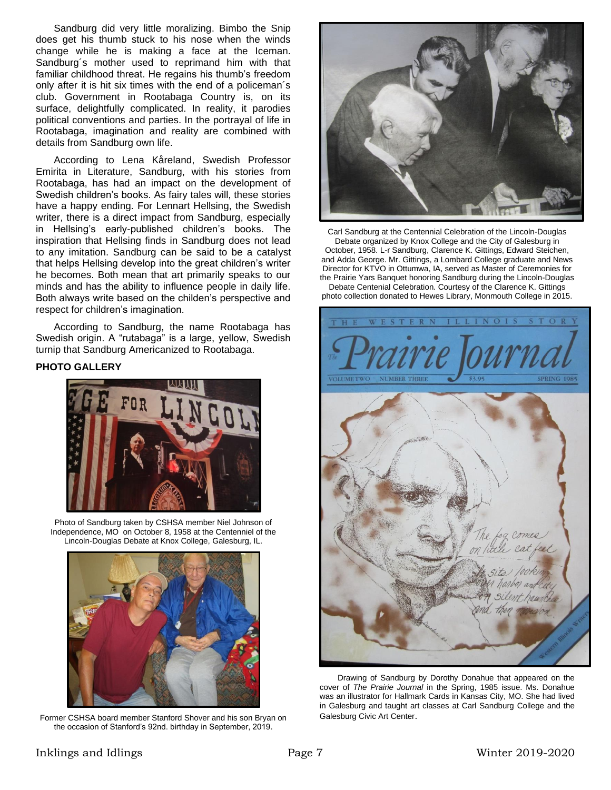Sandburg did very little moralizing. Bimbo the Snip does get his thumb stuck to his nose when the winds change while he is making a face at the Iceman. Sandburg´s mother used to reprimand him with that familiar childhood threat. He regains his thumb's freedom only after it is hit six times with the end of a policeman´s club. Government in Rootabaga Country is, on its surface, delightfully complicated. In reality, it parodies political conventions and parties. In the portrayal of life in Rootabaga, imagination and reality are combined with details from Sandburg own life.

According to Lena Kåreland, Swedish Professor Emirita in Literature, Sandburg, with his stories from Rootabaga, has had an impact on the development of Swedish children's books. As fairy tales will, these stories have a happy ending. For Lennart Hellsing, the Swedish writer, there is a direct impact from Sandburg, especially in Hellsing's early-published children's books. The inspiration that Hellsing finds in Sandburg does not lead to any imitation. Sandburg can be said to be a catalyst that helps Hellsing develop into the great children's writer he becomes. Both mean that art primarily speaks to our minds and has the ability to influence people in daily life. Both always write based on the childen's perspective and respect for children's imagination.

According to Sandburg, the name Rootabaga has Swedish origin. A "rutabaga" is a large, yellow, Swedish turnip that Sandburg Americanized to Rootabaga.

### **PHOTO GALLERY**



Photo of Sandburg taken by CSHSA member Niel Johnson of Independence, MO on October 8, 1958 at the Centenniel of the Lincoln-Douglas Debate at Knox College, Galesburg, IL.



Former CSHSA board member Stanford Shover and his son Bryan on the occasion of Stanford's 92nd. birthday in September, 2019.



Carl Sandburg at the Centennial Celebration of the Lincoln-Douglas Debate organized by Knox College and the City of Galesburg in October, 1958. L-r Sandburg, Clarence K. Gittings, Edward Steichen, and Adda George. Mr. Gittings, a Lombard College graduate and News Director for KTVO in Ottumwa, IA, served as Master of Ceremonies for the Prairie Yars Banquet honoring Sandburg during the Lincoln-Douglas Debate Centenial Celebration. Courtesy of the Clarence K. Gittings

photo collection donated to Hewes Library, Monmouth College in 2015.



Drawing of Sandburg by Dorothy Donahue that appeared on the cover of *The Prairie Journal* in the Spring, 1985 issue. Ms. Donahue was an illustrator for Hallmark Cards in Kansas City, MO. She had lived in Galesburg and taught art classes at Carl Sandburg College and the Galesburg Civic Art Center.